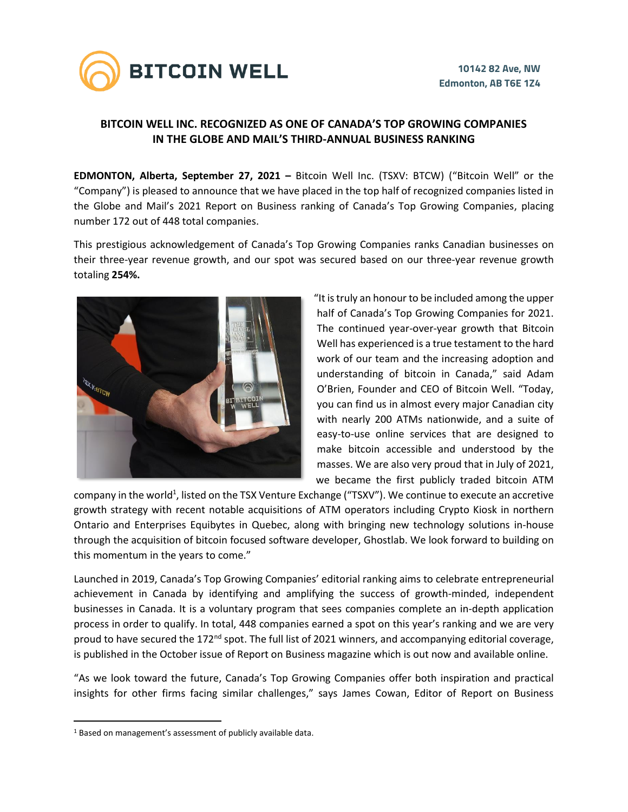

## **BITCOIN WELL INC. RECOGNIZED AS ONE OF CANADA'S TOP GROWING COMPANIES IN THE GLOBE AND MAIL'S THIRD-ANNUAL BUSINESS RANKING**

**EDMONTON, Alberta, September 27, 2021 –** Bitcoin Well Inc. (TSXV: BTCW) ("Bitcoin Well" or the "Company") is pleased to announce that we have placed in the top half of recognized companies listed in the Globe and Mail's 2021 Report on Business ranking of Canada's Top Growing Companies, placing number 172 out of 448 total companies.

This prestigious acknowledgement of Canada's Top Growing Companies ranks Canadian businesses on their three-year revenue growth, and our spot was secured based on our three-year revenue growth totaling **254%.**



"It is truly an honour to be included among the upper half of Canada's Top Growing Companies for 2021. The continued year-over-year growth that Bitcoin Well has experienced is a true testament to the hard work of our team and the increasing adoption and understanding of bitcoin in Canada," said Adam O'Brien, Founder and CEO of Bitcoin Well. "Today, you can find us in almost every major Canadian city with nearly 200 ATMs nationwide, and a suite of easy-to-use online services that are designed to make bitcoin accessible and understood by the masses. We are also very proud that in July of 2021, we became the first publicly traded bitcoin ATM

company in the world<sup>1</sup>, listed on the TSX Venture Exchange ("TSXV"). We continue to execute an accretive growth strategy with recent notable acquisitions of ATM operators including Crypto Kiosk in northern Ontario and Enterprises Equibytes in Quebec, along with bringing new technology solutions in-house through the acquisition of bitcoin focused software developer, Ghostlab. We look forward to building on this momentum in the years to come."

Launched in 2019, Canada's Top Growing Companies' editorial ranking aims to celebrate entrepreneurial achievement in Canada by identifying and amplifying the success of growth-minded, independent businesses in Canada. It is a voluntary program that sees companies complete an in-depth application process in order to qualify. In total, 448 companies earned a spot on this year's ranking and we are very proud to have secured the 172<sup>nd</sup> spot. The full list of 2021 winners, and accompanying editorial coverage, is published in the October issue of Report on Business magazine which is out now and available online.

"As we look toward the future, Canada's Top Growing Companies offer both inspiration and practical insights for other firms facing similar challenges," says James Cowan, Editor of Report on Business

<sup>&</sup>lt;sup>1</sup> Based on management's assessment of publicly available data.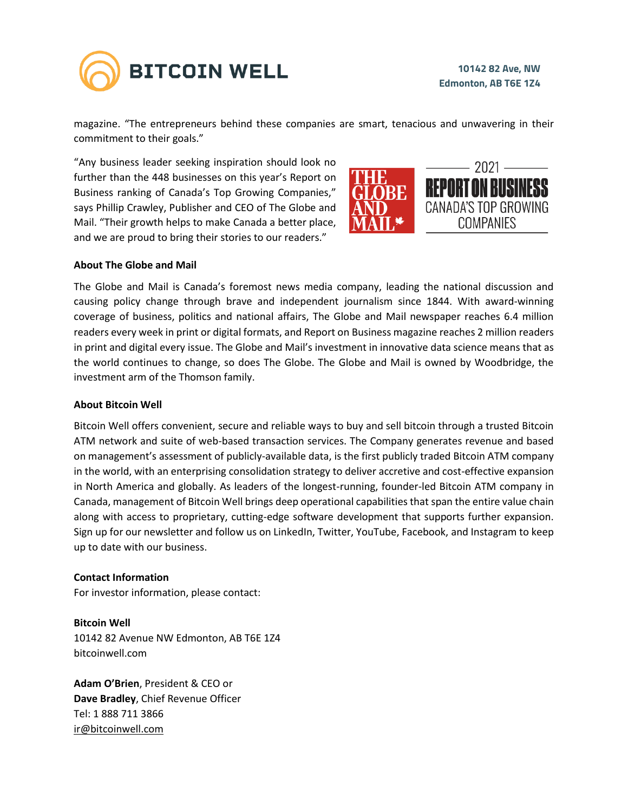

magazine. "The entrepreneurs behind these companies are smart, tenacious and unwavering in their commitment to their goals."

"Any business leader seeking inspiration should look no further than the 448 businesses on this year's Report on Business ranking of Canada's Top Growing Companies," says Phillip Crawley, Publisher and CEO of The Globe and Mail. "Their growth helps to make Canada a better place, and we are proud to bring their stories to our readers."



## **About The Globe and Mail**

The Globe and Mail is Canada's foremost news media company, leading the national discussion and causing policy change through brave and independent journalism since 1844. With award-winning coverage of business, politics and national affairs, The Globe and Mail newspaper reaches 6.4 million readers every week in print or digital formats, and Report on Business magazine reaches 2 million readers in print and digital every issue. The Globe and Mail's investment in innovative data science means that as the world continues to change, so does The Globe. The Globe and Mail is owned by Woodbridge, the investment arm of the Thomson family.

## **About Bitcoin Well**

Bitcoin Well offers convenient, secure and reliable ways to buy and sell bitcoin through a trusted Bitcoin ATM network and suite of web-based transaction services. The Company generates revenue and based on management's assessment of publicly-available data, is the first publicly traded Bitcoin ATM company in the world, with an enterprising consolidation strategy to deliver accretive and cost-effective expansion in North America and globally. As leaders of the longest-running, founder-led Bitcoin ATM company in Canada, management of Bitcoin Well brings deep operational capabilities that span the entire value chain along with access to proprietary, cutting-edge software development that supports further expansion. Sign up for our newsletter and follow us on LinkedIn, Twitter, YouTube, Facebook, and Instagram to keep up to date with our business.

## **Contact Information**

For investor information, please contact:

**Bitcoin Well** 10142 82 Avenue NW Edmonton, AB T6E 1Z4 bitcoinwell.com

**Adam O'Brien**, President & CEO or **Dave Bradley**, Chief Revenue Officer Tel: 1 888 711 3866 [ir@bitcoinwell.com](mailto:ir@bitcoinwell.com)